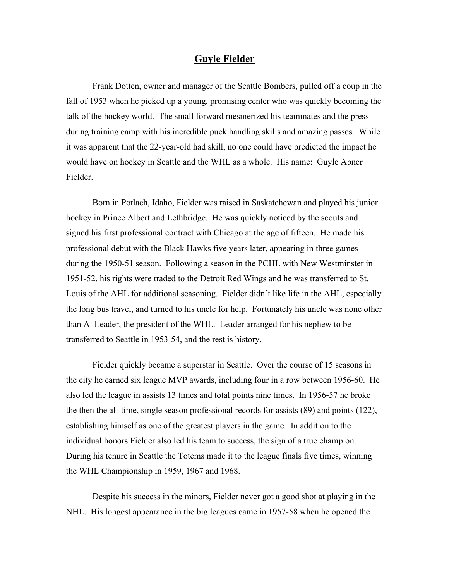## **Guyle Fielder**

Frank Dotten, owner and manager of the Seattle Bombers, pulled off a coup in the fall of 1953 when he picked up a young, promising center who was quickly becoming the talk of the hockey world. The small forward mesmerized his teammates and the press during training camp with his incredible puck handling skills and amazing passes. While it was apparent that the 22-year-old had skill, no one could have predicted the impact he would have on hockey in Seattle and the WHL as a whole. His name: Guyle Abner Fielder.

Born in Potlach, Idaho, Fielder was raised in Saskatchewan and played his junior hockey in Prince Albert and Lethbridge. He was quickly noticed by the scouts and signed his first professional contract with Chicago at the age of fifteen. He made his professional debut with the Black Hawks five years later, appearing in three games during the 1950-51 season. Following a season in the PCHL with New Westminster in 1951-52, his rights were traded to the Detroit Red Wings and he was transferred to St. Louis of the AHL for additional seasoning. Fielder didn't like life in the AHL, especially the long bus travel, and turned to his uncle for help. Fortunately his uncle was none other than Al Leader, the president of the WHL. Leader arranged for his nephew to be transferred to Seattle in 1953-54, and the rest is history.

Fielder quickly became a superstar in Seattle. Over the course of 15 seasons in the city he earned six league MVP awards, including four in a row between 1956-60. He also led the league in assists 13 times and total points nine times. In 1956-57 he broke the then the all-time, single season professional records for assists (89) and points (122), establishing himself as one of the greatest players in the game. In addition to the individual honors Fielder also led his team to success, the sign of a true champion. During his tenure in Seattle the Totems made it to the league finals five times, winning the WHL Championship in 1959, 1967 and 1968.

Despite his success in the minors, Fielder never got a good shot at playing in the NHL. His longest appearance in the big leagues came in 1957-58 when he opened the